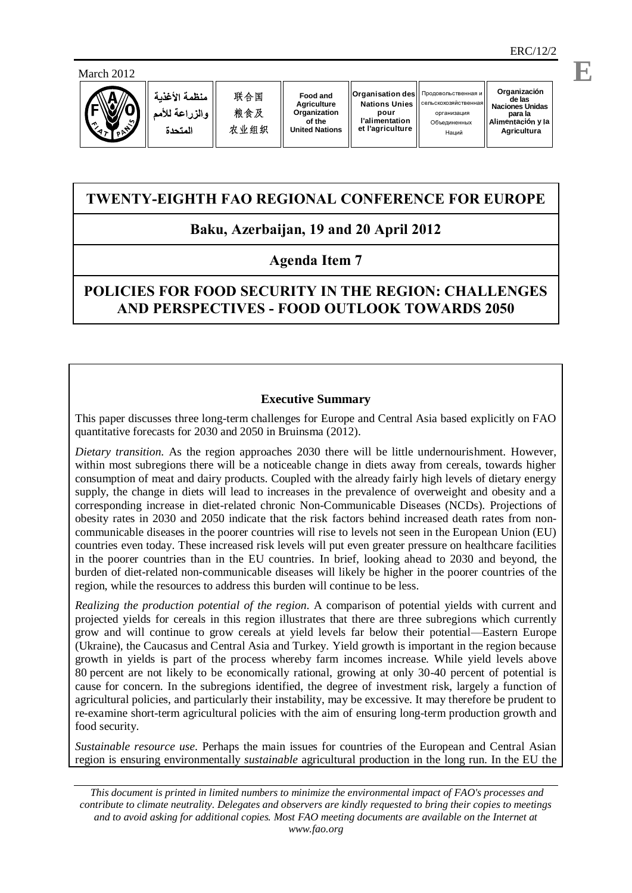March 2012



منظمة الأغذبة ه الذراعة للأمد المتحدة

**Organización de las Naciones Unidas** организация **para la Alimentación y la Agricultura**

# **TWENTY-EIGHTH FAO REGIONAL CONFERENCE FOR EUROPE**

# **Baku, Azerbaijan, 19 and 20 April 2012**

## **Agenda Item 7**

# **POLICIES FOR FOOD SECURITY IN THE REGION: CHALLENGES AND PERSPECTIVES - FOOD OUTLOOK TOWARDS 2050**

## **Executive Summary**

This paper discusses three long-term challenges for Europe and Central Asia based explicitly on FAO quantitative forecasts for 2030 and 2050 in Bruinsma (2012).

*Dietary transition*. As the region approaches 2030 there will be little undernourishment. However, within most subregions there will be a noticeable change in diets away from cereals, towards higher consumption of meat and dairy products. Coupled with the already fairly high levels of dietary energy supply, the change in diets will lead to increases in the prevalence of overweight and obesity and a corresponding increase in diet-related chronic Non-Communicable Diseases (NCDs). Projections of obesity rates in 2030 and 2050 indicate that the risk factors behind increased death rates from noncommunicable diseases in the poorer countries will rise to levels not seen in the European Union (EU) countries even today. These increased risk levels will put even greater pressure on healthcare facilities in the poorer countries than in the EU countries. In brief, looking ahead to 2030 and beyond, the burden of diet-related non-communicable diseases will likely be higher in the poorer countries of the region, while the resources to address this burden will continue to be less.

*Realizing the production potential of the region*. A comparison of potential yields with current and projected yields for cereals in this region illustrates that there are three subregions which currently grow and will continue to grow cereals at yield levels far below their potential—Eastern Europe (Ukraine), the Caucasus and Central Asia and Turkey. Yield growth is important in the region because growth in yields is part of the process whereby farm incomes increase. While yield levels above 80 percent are not likely to be economically rational, growing at only 30-40 percent of potential is cause for concern. In the subregions identified, the degree of investment risk, largely a function of agricultural policies, and particularly their instability, may be excessive. It may therefore be prudent to re-examine short-term agricultural policies with the aim of ensuring long-term production growth and food security.

*Sustainable resource use*. Perhaps the main issues for countries of the European and Central Asian region is ensuring environmentally *sustainable* agricultural production in the long run. In the EU the

*This document is printed in limited numbers to minimize the environmental impact of FAO's processes and contribute to climate neutrality. Delegates and observers are kindly requested to bring their copies to meetings and to avoid asking for additional copies. Most FAO meeting documents are available on the Internet at www.fao.org*

**E**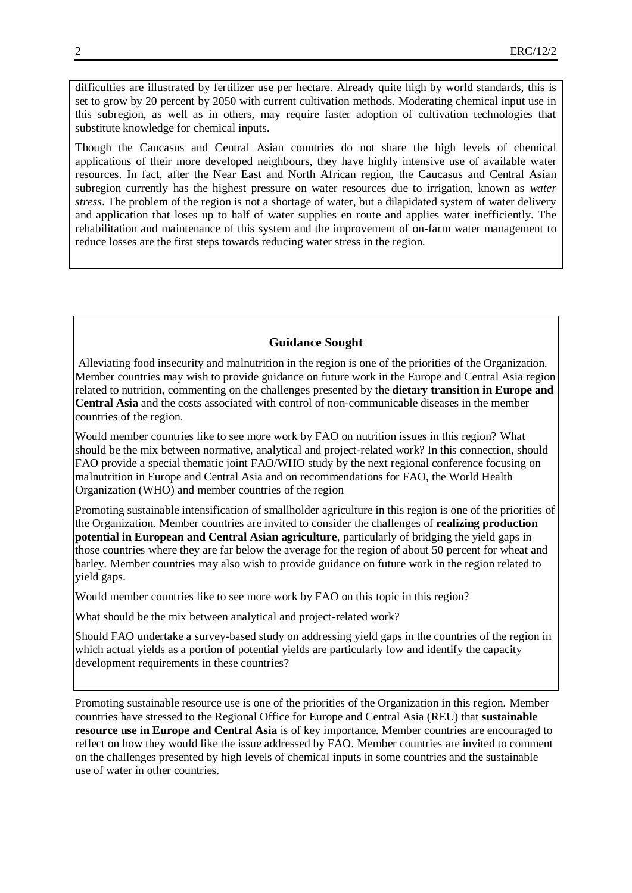difficulties are illustrated by fertilizer use per hectare. Already quite high by world standards, this is set to grow by 20 percent by 2050 with current cultivation methods. Moderating chemical input use in this subregion, as well as in others, may require faster adoption of cultivation technologies that substitute knowledge for chemical inputs.

Though the Caucasus and Central Asian countries do not share the high levels of chemical applications of their more developed neighbours, they have highly intensive use of available water resources. In fact, after the Near East and North African region, the Caucasus and Central Asian subregion currently has the highest pressure on water resources due to irrigation, known as *water stress*. The problem of the region is not a shortage of water, but a dilapidated system of water delivery and application that loses up to half of water supplies en route and applies water inefficiently. The rehabilitation and maintenance of this system and the improvement of on-farm water management to reduce losses are the first steps towards reducing water stress in the region.

## **Guidance Sought**

Alleviating food insecurity and malnutrition in the region is one of the priorities of the Organization. Member countries may wish to provide guidance on future work in the Europe and Central Asia region related to nutrition, commenting on the challenges presented by the **dietary transition in Europe and Central Asia** and the costs associated with control of non-communicable diseases in the member countries of the region.

Would member countries like to see more work by FAO on nutrition issues in this region? What should be the mix between normative, analytical and project-related work? In this connection, should FAO provide a special thematic joint FAO/WHO study by the next regional conference focusing on malnutrition in Europe and Central Asia and on recommendations for FAO, the World Health Organization (WHO) and member countries of the region

Promoting sustainable intensification of smallholder agriculture in this region is one of the priorities of the Organization. Member countries are invited to consider the challenges of **realizing production potential in European and Central Asian agriculture**, particularly of bridging the yield gaps in those countries where they are far below the average for the region of about 50 percent for wheat and barley. Member countries may also wish to provide guidance on future work in the region related to yield gaps.

Would member countries like to see more work by FAO on this topic in this region?

What should be the mix between analytical and project-related work?

Should FAO undertake a survey-based study on addressing yield gaps in the countries of the region in which actual yields as a portion of potential yields are particularly low and identify the capacity development requirements in these countries?

Promoting sustainable resource use is one of the priorities of the Organization in this region. Member countries have stressed to the Regional Office for Europe and Central Asia (REU) that **sustainable resource use in Europe and Central Asia** is of key importance. Member countries are encouraged to reflect on how they would like the issue addressed by FAO. Member countries are invited to comment on the challenges presented by high levels of chemical inputs in some countries and the sustainable use of water in other countries.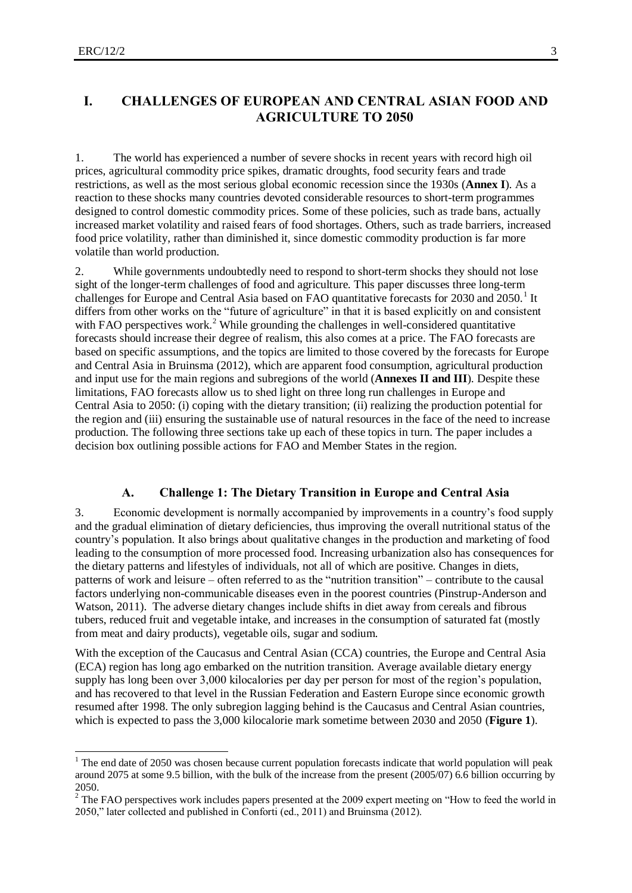## **I. CHALLENGES OF EUROPEAN AND CENTRAL ASIAN FOOD AND AGRICULTURE TO 2050**

1. The world has experienced a number of severe shocks in recent years with record high oil prices, agricultural commodity price spikes, dramatic droughts, food security fears and trade restrictions, as well as the most serious global economic recession since the 1930s (**Annex I**). As a reaction to these shocks many countries devoted considerable resources to short-term programmes designed to control domestic commodity prices. Some of these policies, such as trade bans, actually increased market volatility and raised fears of food shortages. Others, such as trade barriers, increased food price volatility, rather than diminished it, since domestic commodity production is far more volatile than world production.

2. While governments undoubtedly need to respond to short-term shocks they should not lose sight of the longer-term challenges of food and agriculture. This paper discusses three long-term challenges for Europe and Central Asia based on FAO quantitative forecasts for 2030 and 2050.<sup>1</sup> It differs from other works on the "future of agriculture" in that it is based explicitly on and consistent with FAO perspectives work.<sup>2</sup> While grounding the challenges in well-considered quantitative forecasts should increase their degree of realism, this also comes at a price. The FAO forecasts are based on specific assumptions, and the topics are limited to those covered by the forecasts for Europe and Central Asia in Bruinsma (2012), which are apparent food consumption, agricultural production and input use for the main regions and subregions of the world (**Annexes II and III**). Despite these limitations, FAO forecasts allow us to shed light on three long run challenges in Europe and Central Asia to 2050: (i) coping with the dietary transition; (ii) realizing the production potential for the region and (iii) ensuring the sustainable use of natural resources in the face of the need to increase production. The following three sections take up each of these topics in turn. The paper includes a decision box outlining possible actions for FAO and Member States in the region.

#### **A. Challenge 1: The Dietary Transition in Europe and Central Asia**

3. Economic development is normally accompanied by improvements in a country's food supply and the gradual elimination of dietary deficiencies, thus improving the overall nutritional status of the country's population. It also brings about qualitative changes in the production and marketing of food leading to the consumption of more processed food. Increasing urbanization also has consequences for the dietary patterns and lifestyles of individuals, not all of which are positive. Changes in diets, patterns of work and leisure – often referred to as the "nutrition transition" – contribute to the causal factors underlying non-communicable diseases even in the poorest countries (Pinstrup-Anderson and Watson, 2011). The adverse dietary changes include shifts in diet away from cereals and fibrous tubers, reduced fruit and vegetable intake, and increases in the consumption of saturated fat (mostly from meat and dairy products), vegetable oils, sugar and sodium.

With the exception of the Caucasus and Central Asian (CCA) countries, the Europe and Central Asia (ECA) region has long ago embarked on the nutrition transition. Average available dietary energy supply has long been over 3,000 kilocalories per day per person for most of the region's population, and has recovered to that level in the Russian Federation and Eastern Europe since economic growth resumed after 1998. The only subregion lagging behind is the Caucasus and Central Asian countries, which is expected to pass the 3,000 kilocalorie mark sometime between 2030 and 2050 (**Figure 1**).

<sup>&</sup>lt;sup>1</sup> The end date of 2050 was chosen because current population forecasts indicate that world population will peak around 2075 at some 9.5 billion, with the bulk of the increase from the present (2005/07) 6.6 billion occurring by 2050.

<sup>&</sup>lt;sup>2</sup> The FAO perspectives work includes papers presented at the 2009 expert meeting on "How to feed the world in 2050," later collected and published in Conforti (ed., 2011) and Bruinsma (2012).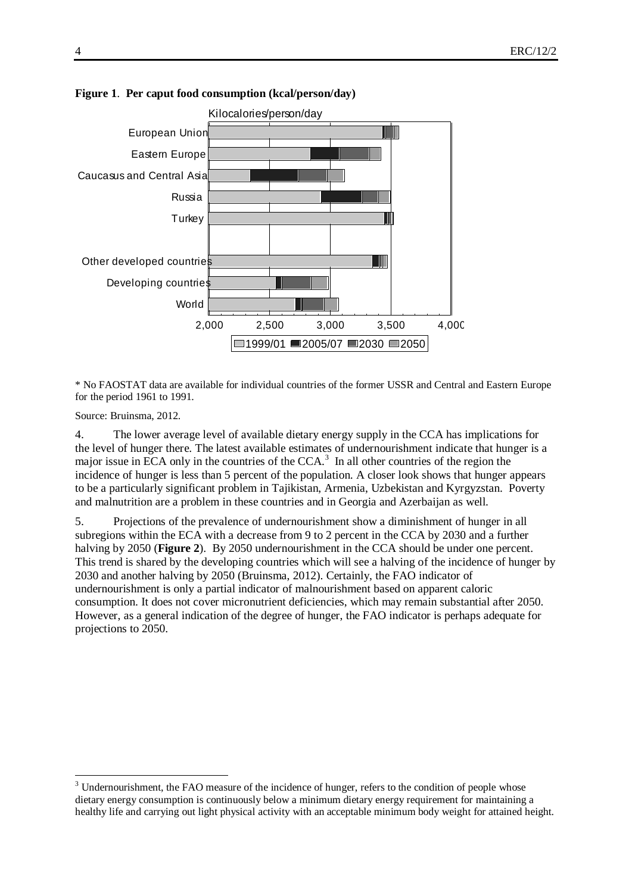

#### **Figure 1**. **Per caput food consumption (kcal/person/day)**

\* No FAOSTAT data are available for individual countries of the former USSR and Central and Eastern Europe for the period 1961 to 1991.

Source: Bruinsma, 2012.

4. The lower average level of available dietary energy supply in the CCA has implications for the level of hunger there. The latest available estimates of undernourishment indicate that hunger is a major issue in ECA only in the countries of the CCA.<sup>3</sup> In all other countries of the region the incidence of hunger is less than 5 percent of the population. A closer look shows that hunger appears to be a particularly significant problem in Tajikistan, Armenia, Uzbekistan and Kyrgyzstan. Poverty and malnutrition are a problem in these countries and in Georgia and Azerbaijan as well.

5. Projections of the prevalence of undernourishment show a diminishment of hunger in all subregions within the ECA with a decrease from 9 to 2 percent in the CCA by 2030 and a further halving by 2050 (**Figure 2**). By 2050 undernourishment in the CCA should be under one percent. This trend is shared by the developing countries which will see a halving of the incidence of hunger by 2030 and another halving by 2050 (Bruinsma, 2012). Certainly, the FAO indicator of undernourishment is only a partial indicator of malnourishment based on apparent caloric consumption. It does not cover micronutrient deficiencies, which may remain substantial after 2050. However, as a general indication of the degree of hunger, the FAO indicator is perhaps adequate for projections to 2050.

<sup>&</sup>lt;sup>3</sup> Undernourishment, the FAO measure of the incidence of hunger, refers to the condition of people whose dietary energy consumption is continuously below a minimum dietary energy requirement for maintaining a healthy life and carrying out light physical activity with an acceptable minimum body weight for attained height.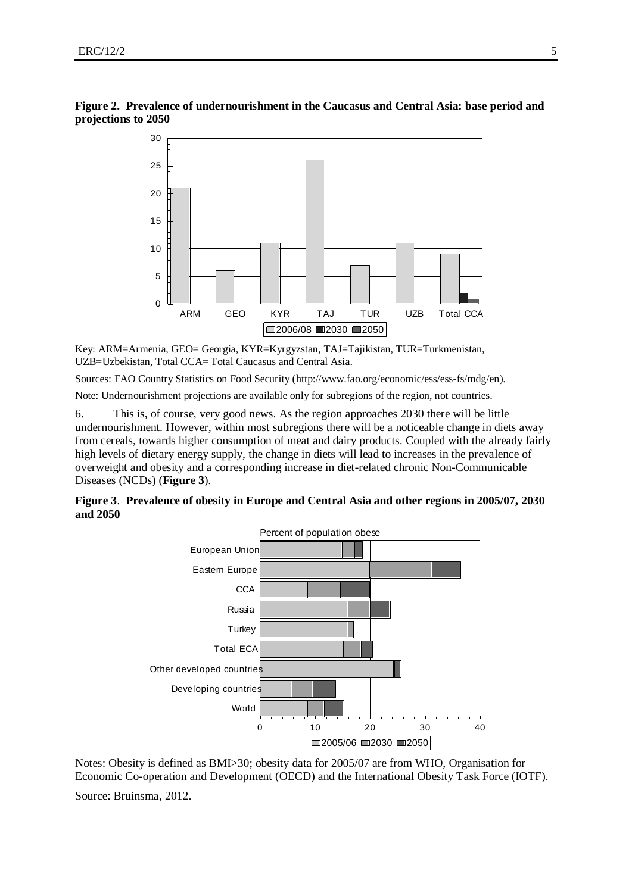

**Figure 2. Prevalence of undernourishment in the Caucasus and Central Asia: base period and projections to 2050 ale**<br>205<br>30

Key: ARM=Armenia, GEO= Georgia, KYR=Kyrgyzstan, TAJ=Tajikistan, TUR=Turkmenistan, UZB=Uzbekistan, Total CCA= Total Caucasus and Central Asia.

Sources: FAO Country Statistics on Food Security [\(http://www.fao.org/economic/ess/ess-fs/mdg/en\)](http://www.fao.org/economic/ess/ess-fs/mdg/en).

Note: Undernourishment projections are available only for subregions of the region, not countries.

6. This is, of course, very good news. As the region approaches 2030 there will be little undernourishment. However, within most subregions there will be a noticeable change in diets away from cereals, towards higher consumption of meat and dairy products. Coupled with the already fairly high levels of dietary energy supply, the change in diets will lead to increases in the prevalence of overweight and obesity and a corresponding increase in diet-related chronic Non-Communicable Diseases (NCDs) (**Figure 3**).

**Figure 3**. **Prevalence of obesity in Europe and Central Asia and other regions in 2005/07, 2030 and 2050**



Notes: Obesity is defined as BMI>30; obesity data for 2005/07 are from WHO, Organisation for Economic Co-operation and Development (OECD) and the International Obesity Task Force (IOTF).

Source: Bruinsma, 2012.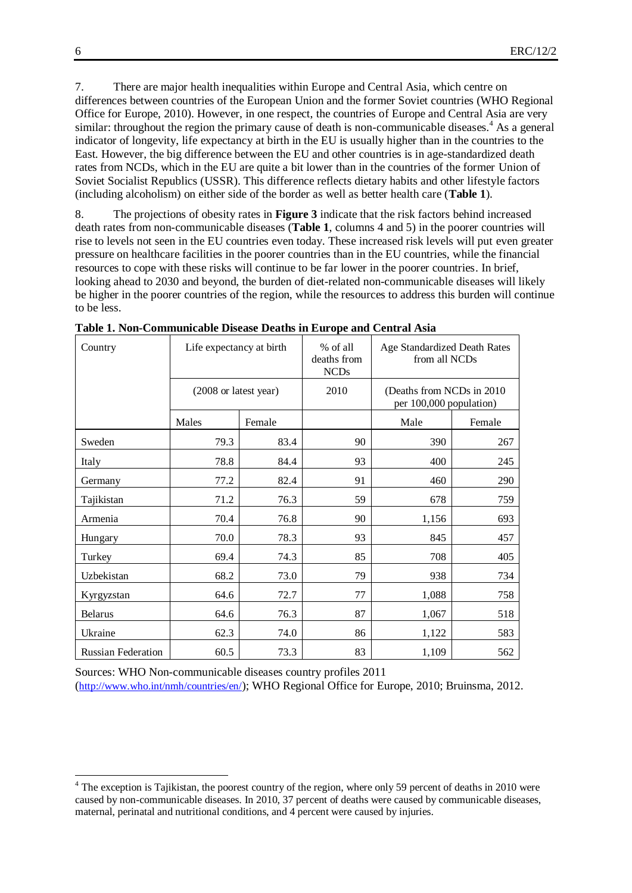7. There are major health inequalities within Europe and Central Asia, which centre on differences between countries of the European Union and the former Soviet countries (WHO Regional Office for Europe, 2010). However, in one respect, the countries of Europe and Central Asia are very similar: throughout the region the primary cause of death is non-communicable diseases.<sup>4</sup> As a general indicator of longevity, life expectancy at birth in the EU is usually higher than in the countries to the East. However, the big difference between the EU and other countries is in age-standardized death rates from NCDs, which in the EU are quite a bit lower than in the countries of the former Union of Soviet Socialist Republics (USSR). This difference reflects dietary habits and other lifestyle factors (including alcoholism) on either side of the border as well as better health care (**Table 1**).

8. The projections of obesity rates in **Figure 3** indicate that the risk factors behind increased death rates from non-communicable diseases (**Table 1**, columns 4 and 5) in the poorer countries will rise to levels not seen in the EU countries even today. These increased risk levels will put even greater pressure on healthcare facilities in the poorer countries than in the EU countries, while the financial resources to cope with these risks will continue to be far lower in the poorer countries. In brief, looking ahead to 2030 and beyond, the burden of diet-related non-communicable diseases will likely be higher in the poorer countries of the region, while the resources to address this burden will continue to be less.

| Country                   | Life expectancy at birth |        | % of all<br>deaths from<br><b>NCDs</b> | Age Standardized Death Rates<br>from all NCDs         |        |  |  |
|---------------------------|--------------------------|--------|----------------------------------------|-------------------------------------------------------|--------|--|--|
|                           | (2008 or latest year)    |        | 2010                                   | (Deaths from NCDs in 2010)<br>per 100,000 population) |        |  |  |
|                           | Males                    | Female |                                        | Male                                                  | Female |  |  |
| Sweden                    | 79.3                     | 83.4   | 90                                     | 390                                                   | 267    |  |  |
| Italy                     | 78.8                     | 84.4   | 93                                     | 400                                                   | 245    |  |  |
| Germany                   | 77.2                     | 82.4   | 91                                     | 460                                                   | 290    |  |  |
| Tajikistan                | 71.2                     | 76.3   | 59                                     | 678                                                   | 759    |  |  |
| Armenia                   | 70.4                     | 76.8   | 90                                     | 1,156                                                 | 693    |  |  |
| Hungary                   | 70.0                     | 78.3   | 93                                     | 845                                                   | 457    |  |  |
| Turkey                    | 69.4                     | 74.3   | 85                                     | 708                                                   | 405    |  |  |
| Uzbekistan                | 68.2                     | 73.0   | 79                                     | 938                                                   | 734    |  |  |
| Kyrgyzstan                | 64.6                     | 72.7   | 77                                     | 1,088                                                 | 758    |  |  |
| <b>Belarus</b>            | 64.6                     | 76.3   | 87                                     | 1,067                                                 | 518    |  |  |
| Ukraine                   | 62.3                     | 74.0   | 86                                     | 1,122                                                 | 583    |  |  |
| <b>Russian Federation</b> | 60.5                     | 73.3   | 83                                     | 1,109                                                 | 562    |  |  |

**Table 1. Non-Communicable Disease Deaths in Europe and Central Asia**

Sources: WHO Non-communicable diseases country profiles 2011 (<http://www.who.int/nmh/countries/en/>); WHO Regional Office for Europe, 2010; Bruinsma, 2012.

<sup>&</sup>lt;sup>4</sup> The exception is Tajikistan, the poorest country of the region, where only 59 percent of deaths in 2010 were caused by non-communicable diseases. In 2010, 37 percent of deaths were caused by communicable diseases, maternal, perinatal and nutritional conditions, and 4 percent were caused by injuries.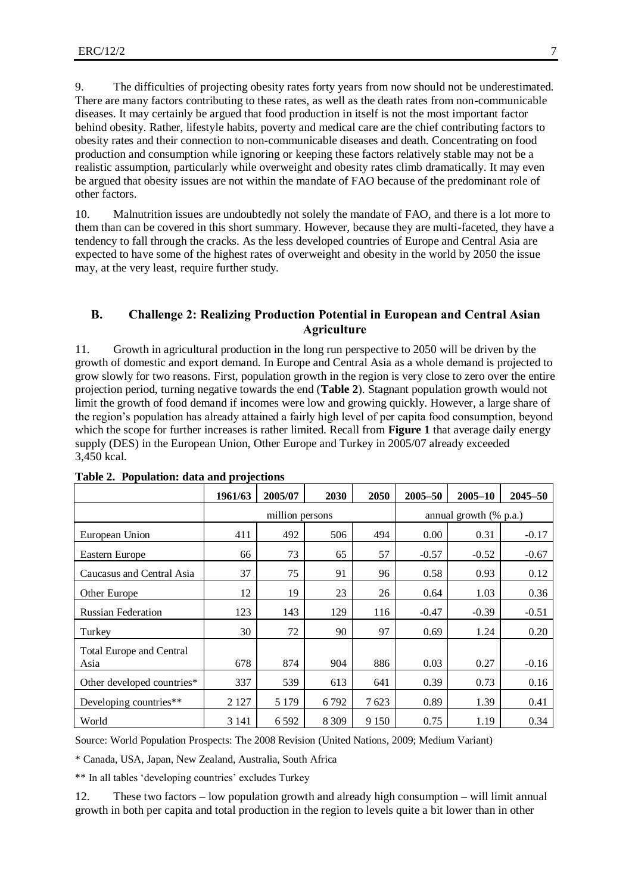9. The difficulties of projecting obesity rates forty years from now should not be underestimated. There are many factors contributing to these rates, as well as the death rates from non-communicable diseases. It may certainly be argued that food production in itself is not the most important factor behind obesity. Rather, lifestyle habits, poverty and medical care are the chief contributing factors to obesity rates and their connection to non-communicable diseases and death. Concentrating on food production and consumption while ignoring or keeping these factors relatively stable may not be a realistic assumption, particularly while overweight and obesity rates climb dramatically. It may even be argued that obesity issues are not within the mandate of FAO because of the predominant role of other factors.

10. Malnutrition issues are undoubtedly not solely the mandate of FAO, and there is a lot more to them than can be covered in this short summary. However, because they are multi-faceted, they have a tendency to fall through the cracks. As the less developed countries of Europe and Central Asia are expected to have some of the highest rates of overweight and obesity in the world by 2050 the issue may, at the very least, require further study.

## **B. Challenge 2: Realizing Production Potential in European and Central Asian Agriculture**

11. Growth in agricultural production in the long run perspective to 2050 will be driven by the growth of domestic and export demand. In Europe and Central Asia as a whole demand is projected to grow slowly for two reasons. First, population growth in the region is very close to zero over the entire projection period, turning negative towards the end (**Table 2**). Stagnant population growth would not limit the growth of food demand if incomes were low and growing quickly. However, a large share of the region's population has already attained a fairly high level of per capita food consumption, beyond which the scope for further increases is rather limited. Recall from **Figure 1** that average daily energy supply (DES) in the European Union, Other Europe and Turkey in 2005/07 already exceeded 3,450 kcal.

|                                         | 1961/63 | 2005/07         | 2030    | 2050    | 2005-50                   | $2005 - 10$ | $2045 - 50$ |  |
|-----------------------------------------|---------|-----------------|---------|---------|---------------------------|-------------|-------------|--|
|                                         |         | million persons |         |         | annual growth $(\%$ p.a.) |             |             |  |
| European Union                          | 411     | 492             | 506     | 494     | 0.00                      | 0.31        | $-0.17$     |  |
| Eastern Europe                          | 66      | 73              | 65      | 57      | $-0.57$                   | $-0.52$     | $-0.67$     |  |
| Caucasus and Central Asia               | 37      | 75              | 91      | 96      | 0.58                      | 0.93        | 0.12        |  |
| Other Europe                            | 12      | 19              | 23      | 26      | 0.64                      | 1.03        | 0.36        |  |
| <b>Russian Federation</b>               | 123     | 143             | 129     | 116     | $-0.47$                   | $-0.39$     | $-0.51$     |  |
| Turkey                                  | 30      | 72              | 90      | 97      | 0.69                      | 1.24        | 0.20        |  |
| <b>Total Europe and Central</b><br>Asia | 678     | 874             | 904     | 886     | 0.03                      | 0.27        | $-0.16$     |  |
| Other developed countries*              | 337     | 539             | 613     | 641     | 0.39                      | 0.73        | 0.16        |  |
| Developing countries**                  | 2 1 2 7 | 5 1 7 9         | 6792    | 7623    | 0.89                      | 1.39        | 0.41        |  |
| World                                   | 3 1 4 1 | 6 5 9 2         | 8 3 0 9 | 9 1 5 0 | 0.75                      | 1.19        | 0.34        |  |

**Table 2. Population: data and projections**

Source: World Population Prospects: The 2008 Revision (United Nations, 2009; Medium Variant)

\* Canada, USA, Japan, New Zealand, Australia, South Africa

\*\* In all tables 'developing countries' excludes Turkey

12. These two factors – low population growth and already high consumption – will limit annual growth in both per capita and total production in the region to levels quite a bit lower than in other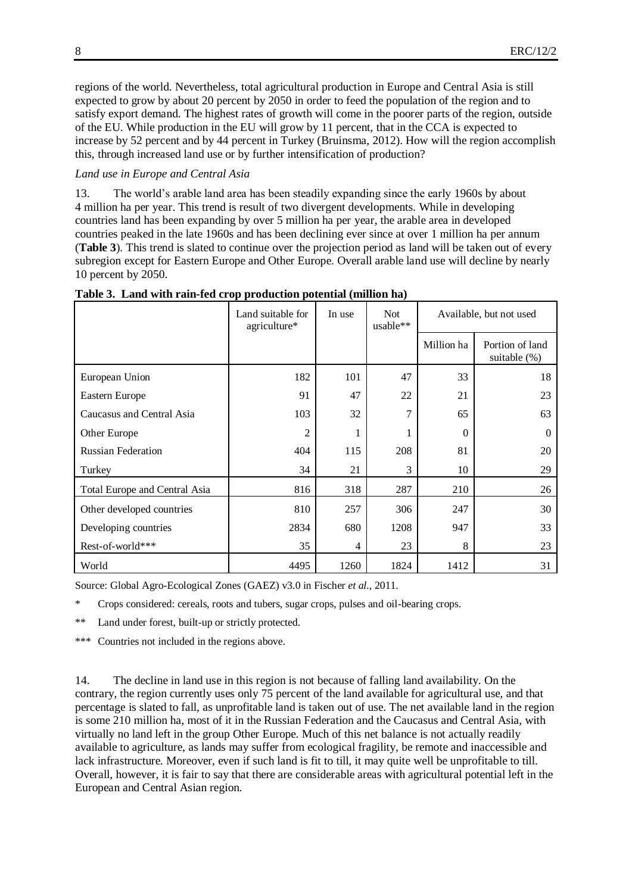regions of the world. Nevertheless, total agricultural production in Europe and Central Asia is still expected to grow by about 20 percent by 2050 in order to feed the population of the region and to satisfy export demand. The highest rates of growth will come in the poorer parts of the region, outside of the EU. While production in the EU will grow by 11 percent, that in the CCA is expected to increase by 52 percent and by 44 percent in Turkey (Bruinsma, 2012). How will the region accomplish this, through increased land use or by further intensification of production?

#### *Land use in Europe and Central Asia*

13. The world's arable land area has been steadily expanding since the early 1960s by about 4 million ha per year. This trend is result of two divergent developments. While in developing countries land has been expanding by over 5 million ha per year, the arable area in developed countries peaked in the late 1960s and has been declining ever since at over 1 million ha per annum (**Table 3**). This trend is slated to continue over the projection period as land will be taken out of every subregion except for Eastern Europe and Other Europe. Overall arable land use will decline by nearly 10 percent by 2050.

|                               | Land suitable for<br>agriculture* | In use | <b>Not</b><br>usable** | Available, but not used |                                 |  |
|-------------------------------|-----------------------------------|--------|------------------------|-------------------------|---------------------------------|--|
|                               |                                   |        |                        | Million ha              | Portion of land<br>suitable (%) |  |
| European Union                | 182                               | 101    | 47                     | 33                      | 18                              |  |
| <b>Eastern Europe</b>         | 91                                | 47     | 22                     | 21                      | 23                              |  |
| Caucasus and Central Asia     | 103                               | 32     | 7                      | 65                      | 63                              |  |
| Other Europe                  | $\overline{2}$                    |        |                        | $\theta$                | $\Omega$                        |  |
| <b>Russian Federation</b>     | 404                               | 115    | 208                    | 81                      | 20                              |  |
| Turkey                        | 34                                | 21     | 3                      | 10                      | 29                              |  |
| Total Europe and Central Asia | 816                               | 318    | 287                    | 210                     | 26                              |  |
| Other developed countries     | 810                               | 257    | 306                    | 247                     | 30                              |  |
| Developing countries          | 2834                              | 680    | 1208                   | 947                     | 33                              |  |
| Rest-of-world***              | 35                                | 4      | 23                     | 8                       | 23                              |  |
| World                         | 4495                              | 1260   | 1824                   | 1412                    | 31                              |  |

**Table 3. Land with rain-fed crop production potential (million ha)**

Source: Global Agro-Ecological Zones (GAEZ) v3.0 in Fischer *et al.,* 2011.

\* Crops considered: cereals, roots and tubers, sugar crops, pulses and oil-bearing crops.

\*\* Land under forest, built-up or strictly protected.

\*\*\* Countries not included in the regions above.

14. The decline in land use in this region is not because of falling land availability. On the contrary, the region currently uses only 75 percent of the land available for agricultural use, and that percentage is slated to fall, as unprofitable land is taken out of use. The net available land in the region is some 210 million ha, most of it in the Russian Federation and the Caucasus and Central Asia, with virtually no land left in the group Other Europe. Much of this net balance is not actually readily available to agriculture, as lands may suffer from ecological fragility, be remote and inaccessible and lack infrastructure. Moreover, even if such land is fit to till, it may quite well be unprofitable to till. Overall, however, it is fair to say that there are considerable areas with agricultural potential left in the European and Central Asian region.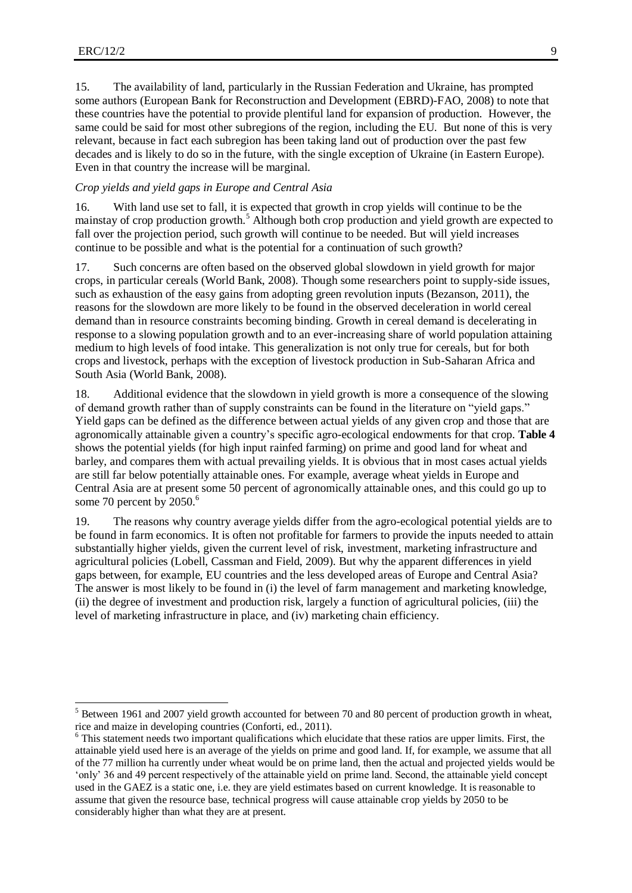15. The availability of land, particularly in the Russian Federation and Ukraine, has prompted some authors (European Bank for Reconstruction and Development (EBRD)-FAO, 2008) to note that these countries have the potential to provide plentiful land for expansion of production. However, the same could be said for most other subregions of the region, including the EU. But none of this is very relevant, because in fact each subregion has been taking land out of production over the past few decades and is likely to do so in the future, with the single exception of Ukraine (in Eastern Europe). Even in that country the increase will be marginal.

#### *Crop yields and yield gaps in Europe and Central Asia*

16. With land use set to fall, it is expected that growth in crop yields will continue to be the mainstay of crop production growth.<sup>5</sup> Although both crop production and yield growth are expected to fall over the projection period, such growth will continue to be needed. But will yield increases continue to be possible and what is the potential for a continuation of such growth?

17. Such concerns are often based on the observed global slowdown in yield growth for major crops, in particular cereals (World Bank, 2008). Though some researchers point to supply-side issues, such as exhaustion of the easy gains from adopting green revolution inputs (Bezanson, 2011), the reasons for the slowdown are more likely to be found in the observed deceleration in world cereal demand than in resource constraints becoming binding. Growth in cereal demand is decelerating in response to a slowing population growth and to an ever-increasing share of world population attaining medium to high levels of food intake. This generalization is not only true for cereals, but for both crops and livestock, perhaps with the exception of livestock production in Sub-Saharan Africa and South Asia (World Bank, 2008).

18. Additional evidence that the slowdown in yield growth is more a consequence of the slowing of demand growth rather than of supply constraints can be found in the literature on "yield gaps." Yield gaps can be defined as the difference between actual yields of any given crop and those that are agronomically attainable given a country's specific agro-ecological endowments for that crop. **Table 4** shows the potential yields (for high input rainfed farming) on prime and good land for wheat and barley, and compares them with actual prevailing yields. It is obvious that in most cases actual yields are still far below potentially attainable ones. For example, average wheat yields in Europe and Central Asia are at present some 50 percent of agronomically attainable ones, and this could go up to some 70 percent by 2050.<sup>6</sup>

19. The reasons why country average yields differ from the agro-ecological potential yields are to be found in farm economics. It is often not profitable for farmers to provide the inputs needed to attain substantially higher yields, given the current level of risk, investment, marketing infrastructure and agricultural policies (Lobell, Cassman and Field, 2009). But why the apparent differences in yield gaps between, for example, EU countries and the less developed areas of Europe and Central Asia? The answer is most likely to be found in (i) the level of farm management and marketing knowledge, (ii) the degree of investment and production risk, largely a function of agricultural policies, (iii) the level of marketing infrastructure in place, and (iv) marketing chain efficiency.

<sup>&</sup>lt;sup>5</sup> Between 1961 and 2007 yield growth accounted for between 70 and 80 percent of production growth in wheat, rice and maize in developing countries (Conforti, ed., 2011).

<sup>&</sup>lt;sup>6</sup> This statement needs two important qualifications which elucidate that these ratios are upper limits. First, the attainable yield used here is an average of the yields on prime and good land. If, for example, we assume that all of the 77 million ha currently under wheat would be on prime land, then the actual and projected yields would be 'only' 36 and 49 percent respectively of the attainable yield on prime land. Second, the attainable yield concept used in the GAEZ is a static one, i.e. they are yield estimates based on current knowledge. It is reasonable to assume that given the resource base, technical progress will cause attainable crop yields by 2050 to be considerably higher than what they are at present.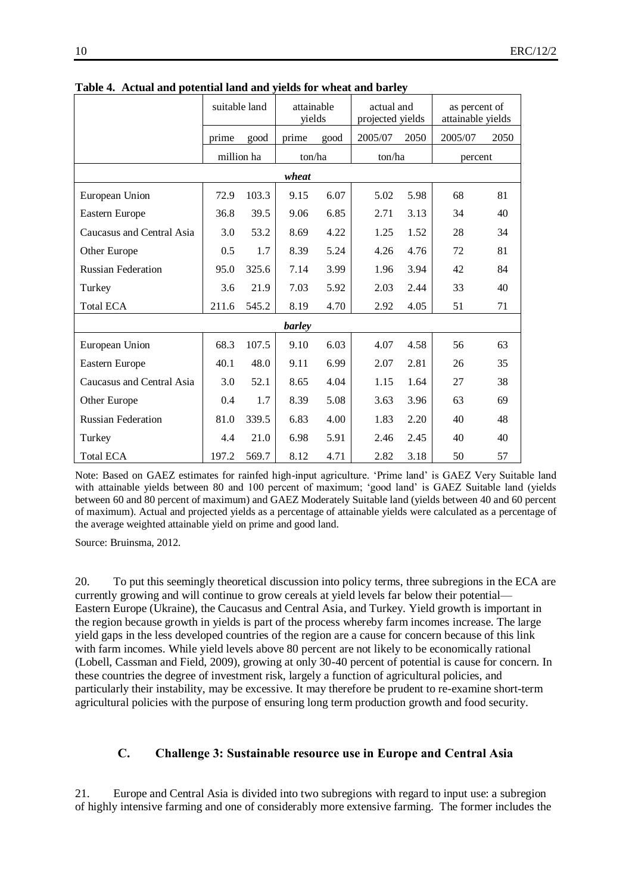|                           | suitable land |       | attainable<br>yields |      | actual and<br>projected yields |      | as percent of<br>attainable yields |      |
|---------------------------|---------------|-------|----------------------|------|--------------------------------|------|------------------------------------|------|
|                           | prime         | good  | prime                | good | 2005/07                        | 2050 | 2005/07                            | 2050 |
|                           | million ha    |       | ton/ha               |      | ton/ha                         |      | percent                            |      |
| wheat                     |               |       |                      |      |                                |      |                                    |      |
| European Union            | 72.9          | 103.3 | 9.15                 | 6.07 | 5.02                           | 5.98 | 68                                 | 81   |
| Eastern Europe            | 36.8          | 39.5  | 9.06                 | 6.85 | 2.71                           | 3.13 | 34                                 | 40   |
| Caucasus and Central Asia | 3.0           | 53.2  | 8.69                 | 4.22 | 1.25                           | 1.52 | 28                                 | 34   |
| Other Europe              | 0.5           | 1.7   | 8.39                 | 5.24 | 4.26                           | 4.76 | 72                                 | 81   |
| <b>Russian Federation</b> | 95.0          | 325.6 | 7.14                 | 3.99 | 1.96                           | 3.94 | 42                                 | 84   |
| Turkey                    | 3.6           | 21.9  | 7.03                 | 5.92 | 2.03                           | 2.44 | 33                                 | 40   |
| <b>Total ECA</b>          | 211.6         | 545.2 | 8.19                 | 4.70 | 2.92                           | 4.05 | 51                                 | 71   |
|                           |               |       | barley               |      |                                |      |                                    |      |
| European Union            | 68.3          | 107.5 | 9.10                 | 6.03 | 4.07                           | 4.58 | 56                                 | 63   |
| Eastern Europe            | 40.1          | 48.0  | 9.11                 | 6.99 | 2.07                           | 2.81 | 26                                 | 35   |
| Caucasus and Central Asia | 3.0           | 52.1  | 8.65                 | 4.04 | 1.15                           | 1.64 | 27                                 | 38   |
| Other Europe              | 0.4           | 1.7   | 8.39                 | 5.08 | 3.63                           | 3.96 | 63                                 | 69   |
| <b>Russian Federation</b> | 81.0          | 339.5 | 6.83                 | 4.00 | 1.83                           | 2.20 | 40                                 | 48   |
| Turkey                    | 4.4           | 21.0  | 6.98                 | 5.91 | 2.46                           | 2.45 | 40                                 | 40   |
| <b>Total ECA</b>          | 197.2         | 569.7 | 8.12                 | 4.71 | 2.82                           | 3.18 | 50                                 | 57   |

**Table 4. Actual and potential land and yields for wheat and barley**

Note: Based on GAEZ estimates for rainfed high-input agriculture. 'Prime land' is GAEZ Very Suitable land with attainable yields between 80 and 100 percent of maximum; 'good land' is GAEZ Suitable land (yields between 60 and 80 percent of maximum) and GAEZ Moderately Suitable land (yields between 40 and 60 percent of maximum). Actual and projected yields as a percentage of attainable yields were calculated as a percentage of the average weighted attainable yield on prime and good land.

Source: Bruinsma, 2012.

20. To put this seemingly theoretical discussion into policy terms, three subregions in the ECA are currently growing and will continue to grow cereals at yield levels far below their potential— Eastern Europe (Ukraine), the Caucasus and Central Asia, and Turkey. Yield growth is important in the region because growth in yields is part of the process whereby farm incomes increase. The large yield gaps in the less developed countries of the region are a cause for concern because of this link with farm incomes. While yield levels above 80 percent are not likely to be economically rational (Lobell, Cassman and Field, 2009), growing at only 30-40 percent of potential is cause for concern. In these countries the degree of investment risk, largely a function of agricultural policies, and particularly their instability, may be excessive. It may therefore be prudent to re-examine short-term agricultural policies with the purpose of ensuring long term production growth and food security.

#### **C. Challenge 3: Sustainable resource use in Europe and Central Asia**

21. Europe and Central Asia is divided into two subregions with regard to input use: a subregion of highly intensive farming and one of considerably more extensive farming. The former includes the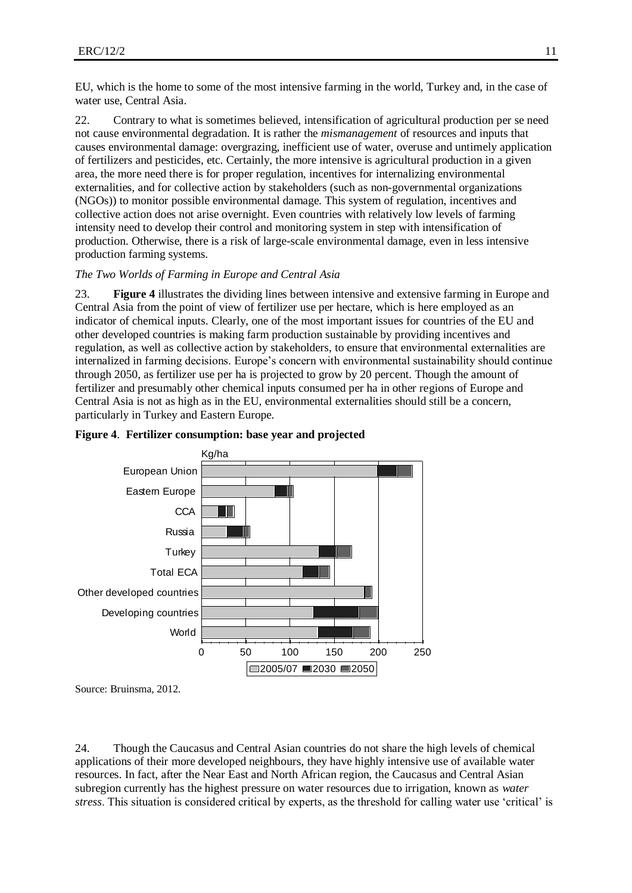EU, which is the home to some of the most intensive farming in the world, Turkey and, in the case of water use, Central Asia.

22. Contrary to what is sometimes believed, intensification of agricultural production per se need not cause environmental degradation. It is rather the *mismanagement* of resources and inputs that causes environmental damage: overgrazing, inefficient use of water, overuse and untimely application of fertilizers and pesticides, etc. Certainly, the more intensive is agricultural production in a given area, the more need there is for proper regulation, incentives for internalizing environmental externalities, and for collective action by stakeholders (such as non-governmental organizations (NGOs)) to monitor possible environmental damage. This system of regulation, incentives and collective action does not arise overnight. Even countries with relatively low levels of farming intensity need to develop their control and monitoring system in step with intensification of production. Otherwise, there is a risk of large-scale environmental damage, even in less intensive production farming systems.

#### *The Two Worlds of Farming in Europe and Central Asia*

23. **Figure 4** illustrates the dividing lines between intensive and extensive farming in Europe and Central Asia from the point of view of fertilizer use per hectare, which is here employed as an indicator of chemical inputs. Clearly, one of the most important issues for countries of the EU and other developed countries is making farm production sustainable by providing incentives and regulation, as well as collective action by stakeholders, to ensure that environmental externalities are internalized in farming decisions. Europe's concern with environmental sustainability should continue through 2050, as fertilizer use per ha is projected to grow by 20 percent. Though the amount of fertilizer and presumably other chemical inputs consumed per ha in other regions of Europe and Central Asia is not as high as in the EU, environmental externalities should still be a concern, particularly in Turkey and Eastern Europe.



#### **Figure 4**. **Fertilizer consumption: base year and projected**

Source: Bruinsma, 2012.

24. Though the Caucasus and Central Asian countries do not share the high levels of chemical applications of their more developed neighbours, they have highly intensive use of available water resources. In fact, after the Near East and North African region, the Caucasus and Central Asian subregion currently has the highest pressure on water resources due to irrigation, known as *water stress*. This situation is considered critical by experts, as the threshold for calling water use 'critical' is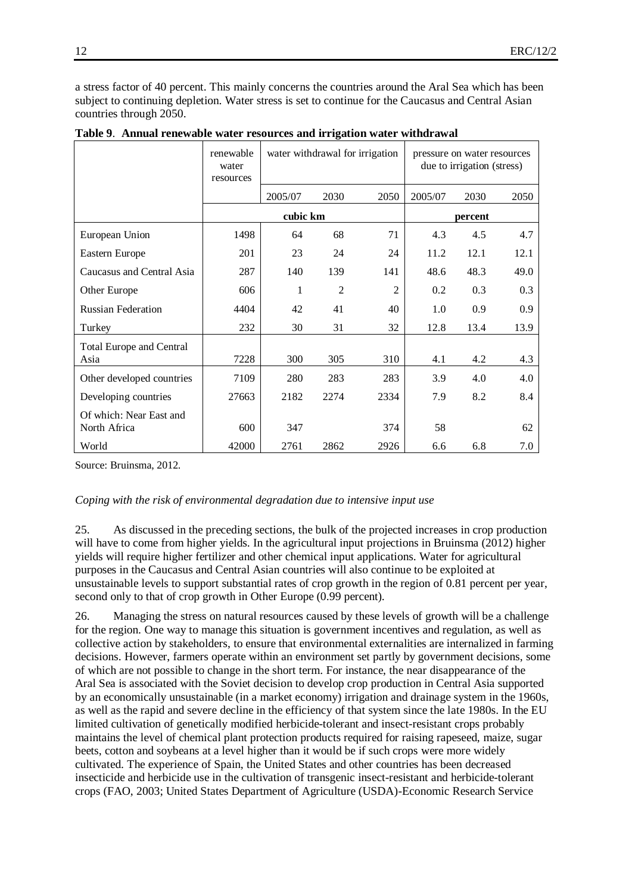a stress factor of 40 percent. This mainly concerns the countries around the Aral Sea which has been subject to continuing depletion. Water stress is set to continue for the Caucasus and Central Asian countries through 2050.

|                                         | renewable<br>water<br>resources |          |                | water withdrawal for irrigation | pressure on water resources<br>due to irrigation (stress) |      |      |  |
|-----------------------------------------|---------------------------------|----------|----------------|---------------------------------|-----------------------------------------------------------|------|------|--|
|                                         |                                 | 2005/07  | 2030           | 2050                            | 2005/07                                                   | 2030 | 2050 |  |
|                                         |                                 | cubic km |                |                                 | percent                                                   |      |      |  |
| European Union                          | 1498                            | 64       | 68             | 71                              | 4.3                                                       | 4.5  | 4.7  |  |
| Eastern Europe                          | 201                             | 23       | 24             | 24                              | 11.2                                                      | 12.1 | 12.1 |  |
| Caucasus and Central Asia               | 287                             | 140      | 139            | 141                             | 48.6                                                      | 48.3 | 49.0 |  |
| Other Europe                            | 606                             | 1        | $\overline{2}$ | $\overline{2}$                  | 0.2                                                       | 0.3  | 0.3  |  |
| <b>Russian Federation</b>               | 4404                            | 42       | 41             | 40                              | 1.0                                                       | 0.9  | 0.9  |  |
| Turkey                                  | 232                             | 30       | 31             | 32                              | 12.8                                                      | 13.4 | 13.9 |  |
| <b>Total Europe and Central</b><br>Asia | 7228                            | 300      | 305            | 310                             | 4.1                                                       | 4.2  | 4.3  |  |
| Other developed countries               | 7109                            | 280      | 283            | 283                             | 3.9                                                       | 4.0  | 4.0  |  |
| Developing countries                    | 27663                           | 2182     | 2274           | 2334                            | 7.9                                                       | 8.2  | 8.4  |  |
| Of which: Near East and<br>North Africa | 600                             | 347      |                | 374                             | 58                                                        |      | 62   |  |
| World                                   | 42000                           | 2761     | 2862           | 2926                            | 6.6                                                       | 6.8  | 7.0  |  |

|  | Table 9. Annual renewable water resources and irrigation water withdrawal |  |  |  |  |
|--|---------------------------------------------------------------------------|--|--|--|--|
|  |                                                                           |  |  |  |  |

Source: Bruinsma, 2012.

#### *Coping with the risk of environmental degradation due to intensive input use*

25. As discussed in the preceding sections, the bulk of the projected increases in crop production will have to come from higher yields. In the agricultural input projections in Bruinsma (2012) higher yields will require higher fertilizer and other chemical input applications. Water for agricultural purposes in the Caucasus and Central Asian countries will also continue to be exploited at unsustainable levels to support substantial rates of crop growth in the region of 0.81 percent per year, second only to that of crop growth in Other Europe (0.99 percent).

26. Managing the stress on natural resources caused by these levels of growth will be a challenge for the region. One way to manage this situation is government incentives and regulation, as well as collective action by stakeholders, to ensure that environmental externalities are internalized in farming decisions. However, farmers operate within an environment set partly by government decisions, some of which are not possible to change in the short term. For instance, the near disappearance of the Aral Sea is associated with the Soviet decision to develop crop production in Central Asia supported by an economically unsustainable (in a market economy) irrigation and drainage system in the 1960s, as well as the rapid and severe decline in the efficiency of that system since the late 1980s. In the EU limited cultivation of genetically modified herbicide-tolerant and insect-resistant crops probably maintains the level of chemical plant protection products required for raising rapeseed, maize, sugar beets, cotton and soybeans at a level higher than it would be if such crops were more widely cultivated. The experience of Spain, the United States and other countries has been decreased insecticide and herbicide use in the cultivation of transgenic insect-resistant and herbicide-tolerant crops (FAO, 2003; United States Department of Agriculture (USDA)-Economic Research Service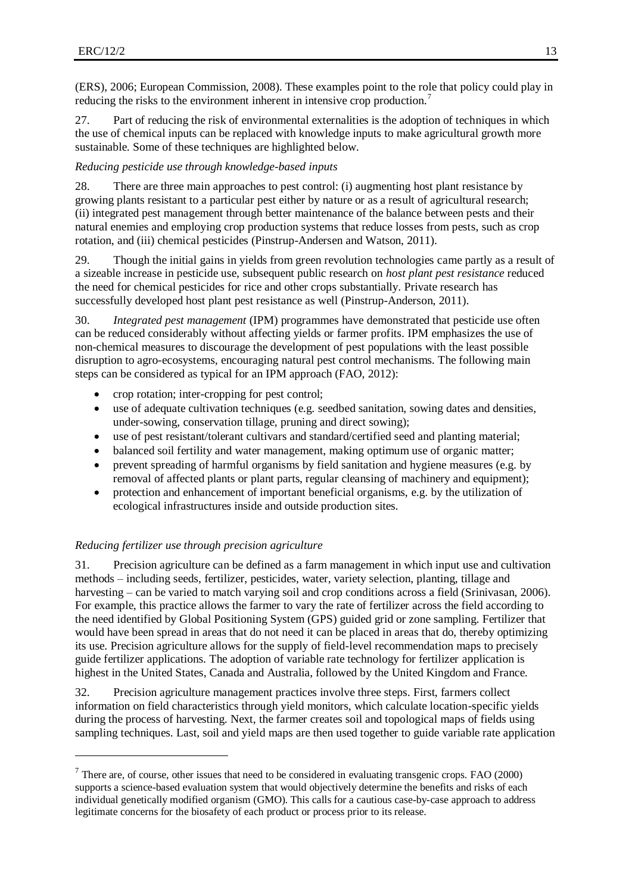(ERS), 2006; European Commission, 2008). These examples point to the role that policy could play in reducing the risks to the environment inherent in intensive crop production.<sup>7</sup>

27. Part of reducing the risk of environmental externalities is the adoption of techniques in which the use of chemical inputs can be replaced with knowledge inputs to make agricultural growth more sustainable. Some of these techniques are highlighted below.

### *Reducing pesticide use through knowledge-based inputs*

28. There are three main approaches to pest control: (i) augmenting host plant resistance by growing plants resistant to a particular pest either by nature or as a result of agricultural research; (ii) integrated pest management through better maintenance of the balance between pests and their natural enemies and employing crop production systems that reduce losses from pests, such as crop rotation, and (iii) chemical pesticides (Pinstrup-Andersen and Watson, 2011).

29. Though the initial gains in yields from green revolution technologies came partly as a result of a sizeable increase in pesticide use, subsequent public research on *host plant pest resistance* reduced the need for chemical pesticides for rice and other crops substantially. Private research has successfully developed host plant pest resistance as well (Pinstrup-Anderson, 2011).

30. *Integrated pest management* (IPM) programmes have demonstrated that pesticide use often can be reduced considerably without affecting yields or farmer profits. IPM emphasizes the use of non-chemical measures to discourage the development of pest populations with the least possible disruption to agro-ecosystems, encouraging natural pest control mechanisms. The following main steps can be considered as typical for an IPM approach (FAO, 2012):

- crop rotation; inter-cropping for pest control;
- use of adequate cultivation techniques (e.g. seedbed sanitation, sowing dates and densities, under-sowing, conservation tillage, pruning and direct sowing);
- use of pest resistant/tolerant cultivars and standard/certified seed and planting material;
- balanced soil fertility and water management, making optimum use of organic matter;
- prevent spreading of harmful organisms by field sanitation and hygiene measures (e.g. by removal of affected plants or plant parts, regular cleansing of machinery and equipment);
- protection and enhancement of important beneficial organisms, e.g. by the utilization of ecological infrastructures inside and outside production sites.

## *Reducing fertilizer use through precision agriculture*

 $\overline{a}$ 

31. Precision agriculture can be defined as a farm management in which input use and cultivation methods – including seeds, fertilizer, pesticides, water, variety selection, planting, tillage and harvesting – can be varied to match varying soil and crop conditions across a field (Srinivasan, 2006). For example, this practice allows the farmer to vary the rate of fertilizer across the field according to the need identified by Global Positioning System (GPS) guided grid or zone sampling. Fertilizer that would have been spread in areas that do not need it can be placed in areas that do, thereby optimizing its use. Precision agriculture allows for the supply of field-level recommendation maps to precisely guide fertilizer applications. The adoption of variable rate technology for fertilizer application is highest in the United States, Canada and Australia, followed by the United Kingdom and France.

32. Precision agriculture management practices involve three steps. First, farmers collect information on field characteristics through yield monitors, which calculate location-specific yields during the process of harvesting. Next, the farmer creates soil and topological maps of fields using sampling techniques. Last, soil and yield maps are then used together to guide variable rate application

 $<sup>7</sup>$  There are, of course, other issues that need to be considered in evaluating transgenic crops. FAO (2000)</sup> supports a science-based evaluation system that would objectively determine the benefits and risks of each individual genetically modified organism (GMO). This calls for a cautious case-by-case approach to address legitimate concerns for the biosafety of each product or process prior to its release.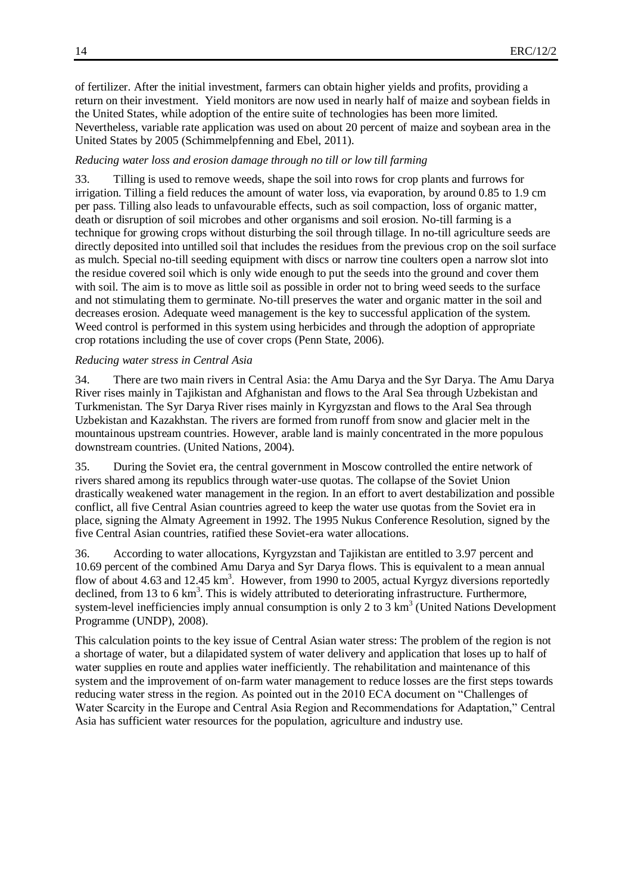of fertilizer. After the initial investment, farmers can obtain higher yields and profits, providing a return on their investment. Yield monitors are now used in nearly half of maize and soybean fields in the United States, while adoption of the entire suite of technologies has been more limited. Nevertheless, variable rate application was used on about 20 percent of maize and soybean area in the United States by 2005 (Schimmelpfenning and Ebel, 2011).

#### *Reducing water loss and erosion damage through no till or low till farming*

33. Tilling is used to remove weeds, shape the soil into rows for crop plants and furrows for [irrigation.](http://en.wikipedia.org/wiki/Irrigation) Tilling a field reduces the amount of water loss, via [evaporation,](http://en.wikipedia.org/wiki/Evaporation) by around 0.85 to 1.9 cm per pass. Tilling also leads to unfavourable effects, such as [soil compaction,](http://en.wikipedia.org/wiki/Soil_compaction) loss of [organic matter,](http://en.wikipedia.org/wiki/Organic_matter) death or disruption of soil [microbes](http://en.wikipedia.org/wiki/Microbe) and other organisms and [soil erosion.](http://en.wikipedia.org/wiki/Soil_erosion) No-till farming is a technique for growing [crops](http://en.wikipedia.org/wiki/Crops) without disturbing the [soil](http://en.wikipedia.org/wiki/Soil) through [tillage.](http://en.wikipedia.org/wiki/Tillage) In no-till agriculture seeds are directly deposited into untilled soil that includes the residues from the previous crop on the soil surface as mulch. Special no-till seeding equipment with discs or narrow tine coulters open a narrow slot into the residue covered soil which is only wide enough to put the seeds into the ground and cover them with soil. The aim is to move as little soil as possible in order not to bring weed seeds to the surface and not stimulating them to germinate. No-till preserves the water and organic matter in the soil and decreases [erosion.](http://en.wikipedia.org/wiki/Erosion) Adequate weed management is the key to successful application of the system. Weed control is performed in this system using herbicides and through the adoption of appropriate crop rotations including the use of cover crops (Penn State, 2006).

#### *Reducing water stress in Central Asia*

34. There are two main rivers in Central Asia: the Amu Darya and the Syr Darya. The Amu Darya River rises mainly in Tajikistan and Afghanistan and flows to the Aral Sea through Uzbekistan and Turkmenistan. The Syr Darya River rises mainly in Kyrgyzstan and flows to the Aral Sea through Uzbekistan and Kazakhstan. The rivers are formed from runoff from snow and glacier melt in the mountainous upstream countries. However, arable land is mainly concentrated in the more populous downstream countries. (United Nations, 2004).

35. During the Soviet era, the central government in Moscow controlled the entire network of rivers shared among its republics through water-use quotas. The collapse of the Soviet Union drastically weakened water management in the region. In an effort to avert destabilization and possible conflict, all five Central Asian countries agreed to keep the water use quotas from the Soviet era in place, signing the Almaty Agreement in 1992. The 1995 Nukus Conference Resolution, signed by the five Central Asian countries, ratified these Soviet-era water allocations.

36. According to water allocations, Kyrgyzstan and Tajikistan are entitled to 3.97 percent and 10.69 percent of the combined Amu Darya and Syr Darya flows. This is equivalent to a mean annual flow of about 4.63 and 12.45  $km<sup>3</sup>$ . However, from 1990 to 2005, actual Kyrgyz diversions reportedly declined, from 13 to 6 km<sup>3</sup>. This is widely attributed to deteriorating infrastructure. Furthermore, system-level inefficiencies imply annual consumption is only 2 to  $3 \text{ km}^3$  (United Nations Development Programme (UNDP), 2008).

This calculation points to the key issue of Central Asian water stress: The problem of the region is not a shortage of water, but a dilapidated system of water delivery and application that loses up to half of water supplies en route and applies water inefficiently. The rehabilitation and maintenance of this system and the improvement of on-farm water management to reduce losses are the first steps towards reducing water stress in the region. As pointed out in the 2010 ECA document on "Challenges of Water Scarcity in the Europe and Central Asia Region and Recommendations for Adaptation," Central Asia has sufficient water resources for the population, agriculture and industry use.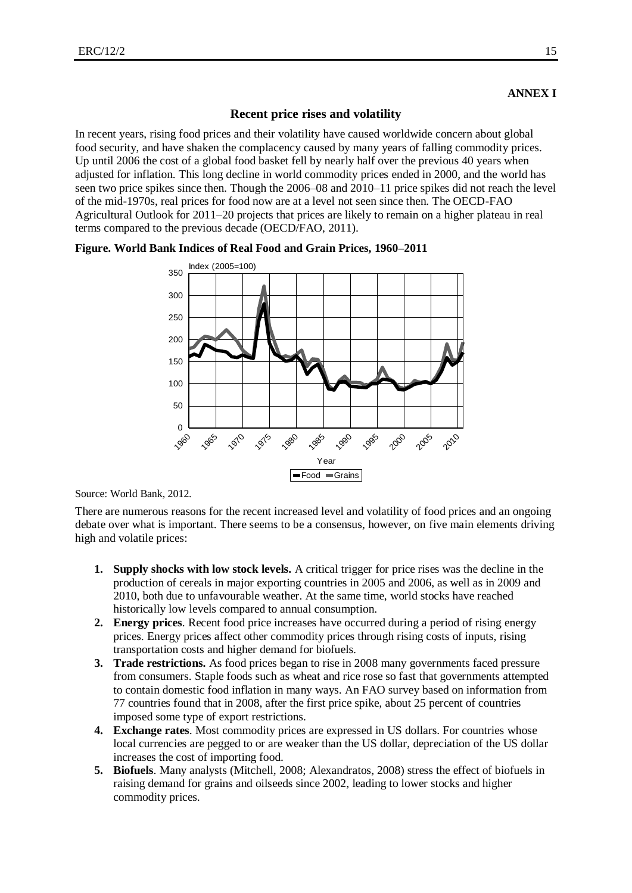## **Recent price rises and volatility**

In recent years, rising food prices and their volatility have caused worldwide concern about global food security, and have shaken the complacency caused by many years of falling commodity prices. Up until 2006 the cost of a global food basket fell by nearly half over the previous 40 years when adjusted for inflation. This long decline in world commodity prices ended in 2000, and the world has seen two price spikes since then. Though the 2006–08 and 2010–11 price spikes did not reach the level of the mid-1970s, real prices for food now are at a level not seen since then. The OECD-FAO Agricultural Outlook for 2011–20 projects that prices are likely to remain on a higher plateau in real terms compared to the previous decade (OECD/FAO, 2011).





Source: World Bank, 2012.

There are numerous reasons for the recent increased level and volatility of food prices and an ongoing debate over what is important. There seems to be a consensus, however, on five main elements driving high and volatile prices:

- **1. Supply shocks with low stock levels.** A critical trigger for price rises was the decline in the production of cereals in major exporting countries in 2005 and 2006, as well as in 2009 and 2010, both due to unfavourable weather. At the same time, world stocks have reached historically low levels compared to annual consumption.
- **2. Energy prices**. Recent food price increases have occurred during a period of rising energy prices. Energy prices affect other commodity prices through rising costs of inputs, rising transportation costs and higher demand for biofuels.
- **3. Trade restrictions.** As food prices began to rise in 2008 many governments faced pressure from consumers. Staple foods such as wheat and rice rose so fast that governments attempted to contain domestic food inflation in many ways. An FAO survey based on information from 77 countries found that in 2008, after the first price spike, about 25 percent of countries imposed some type of export restrictions.
- **4. Exchange rates**. Most commodity prices are expressed in US dollars. For countries whose local currencies are pegged to or are weaker than the US dollar, depreciation of the US dollar increases the cost of importing food.
- **5. Biofuels**. Many analysts (Mitchell, 2008; Alexandratos, 2008) stress the effect of biofuels in raising demand for grains and oilseeds since 2002, leading to lower stocks and higher commodity prices.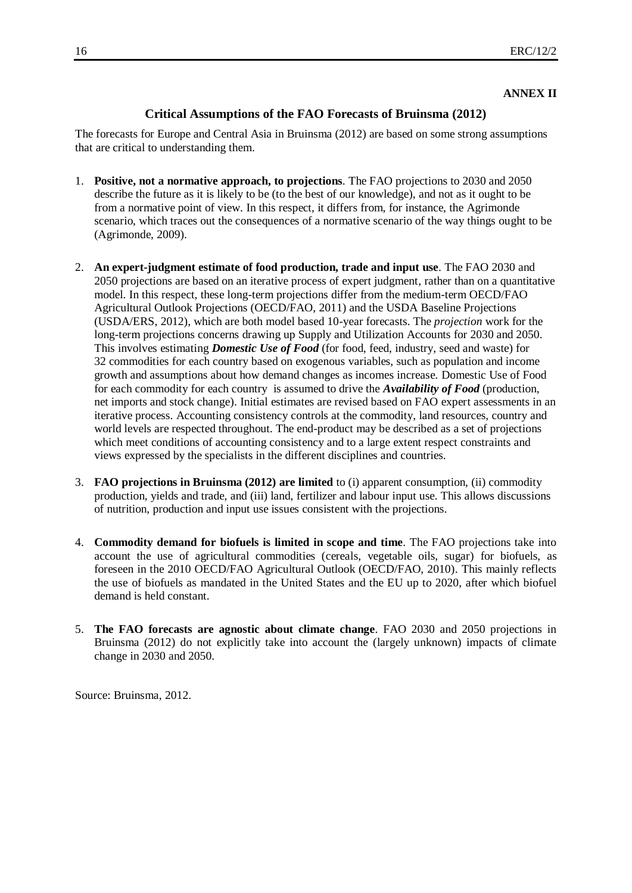## **ANNEX II**

## **Critical Assumptions of the FAO Forecasts of Bruinsma (2012)**

The forecasts for Europe and Central Asia in Bruinsma (2012) are based on some strong assumptions that are critical to understanding them.

- 1. **Positive, not a normative approach, to projections**. The FAO projections to 2030 and 2050 describe the future as it is likely to be (to the best of our knowledge), and not as it ought to be from a normative point of view. In this respect, it differs from, for instance, the Agrimonde scenario, which traces out the consequences of a normative scenario of the way things ought to be (Agrimonde, 2009).
- 2. **An expert-judgment estimate of food production, trade and input use**. The FAO 2030 and 2050 projections are based on an iterative process of expert judgment, rather than on a quantitative model. In this respect, these long-term projections differ from the medium-term OECD/FAO Agricultural Outlook Projections (OECD/FAO, 2011) and the USDA Baseline Projections (USDA/ERS, 2012), which are both model based 10-year forecasts. The *projection* work for the long-term projections concerns drawing up Supply and Utilization Accounts for 2030 and 2050. This involves estimating *Domestic Use of Food* (for food, feed, industry, seed and waste) for 32 commodities for each country based on exogenous variables, such as population and income growth and assumptions about how demand changes as incomes increase. Domestic Use of Food for each commodity for each country is assumed to drive the *Availability of Food* (production, net imports and stock change). Initial estimates are revised based on FAO expert assessments in an iterative process. Accounting consistency controls at the commodity, land resources, country and world levels are respected throughout. The end-product may be described as a set of projections which meet conditions of accounting consistency and to a large extent respect constraints and views expressed by the specialists in the different disciplines and countries.
- 3. **FAO projections in Bruinsma (2012) are limited** to (i) apparent consumption, (ii) commodity production, yields and trade, and (iii) land, fertilizer and labour input use. This allows discussions of nutrition, production and input use issues consistent with the projections.
- 4. **Commodity demand for biofuels is limited in scope and time**. The FAO projections take into account the use of agricultural commodities (cereals, vegetable oils, sugar) for biofuels, as foreseen in the 2010 OECD/FAO Agricultural Outlook (OECD/FAO, 2010). This mainly reflects the use of biofuels as mandated in the United States and the EU up to 2020, after which biofuel demand is held constant.
- 5. **The FAO forecasts are agnostic about climate change**. FAO 2030 and 2050 projections in Bruinsma (2012) do not explicitly take into account the (largely unknown) impacts of climate change in 2030 and 2050.

Source: Bruinsma, 2012.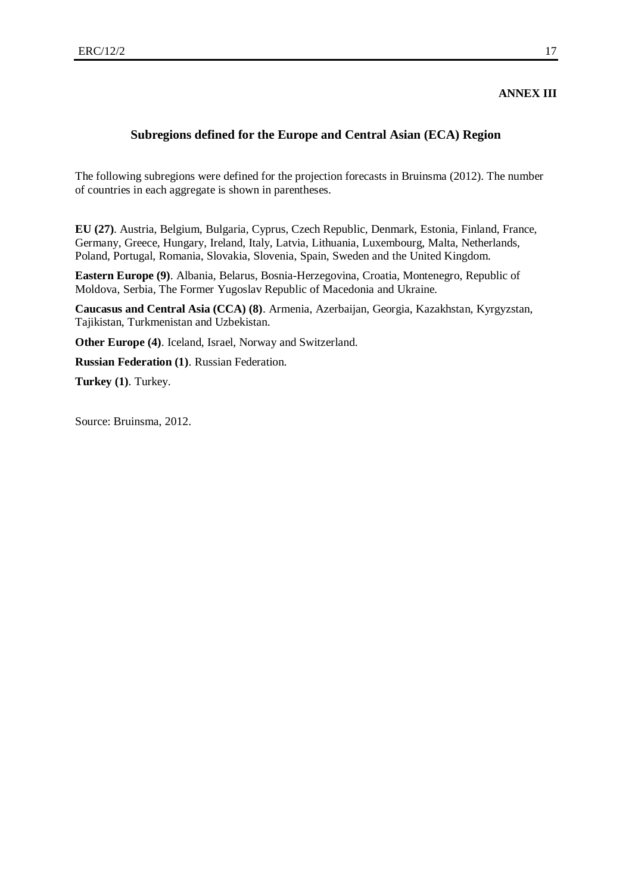#### **ANNEX III**

## **Subregions defined for the Europe and Central Asian (ECA) Region**

The following subregions were defined for the projection forecasts in Bruinsma (2012). The number of countries in each aggregate is shown in parentheses.

**EU (27)**. Austria, Belgium, Bulgaria, Cyprus, Czech Republic, Denmark, Estonia, Finland, France, Germany, Greece, Hungary, Ireland, Italy, Latvia, Lithuania, Luxembourg, Malta, Netherlands, Poland, Portugal, Romania, Slovakia, Slovenia, Spain, Sweden and the United Kingdom.

**Eastern Europe (9)**. Albania, Belarus, Bosnia-Herzegovina, Croatia, Montenegro, Republic of Moldova, Serbia, The Former Yugoslav Republic of Macedonia and Ukraine.

**Caucasus and Central Asia (CCA) (8)**. Armenia, Azerbaijan, Georgia, Kazakhstan, Kyrgyzstan, Tajikistan, Turkmenistan and Uzbekistan.

**Other Europe (4)**. Iceland, Israel, Norway and Switzerland.

**Russian Federation (1)**. Russian Federation.

**Turkey (1)**. Turkey.

Source: Bruinsma, 2012.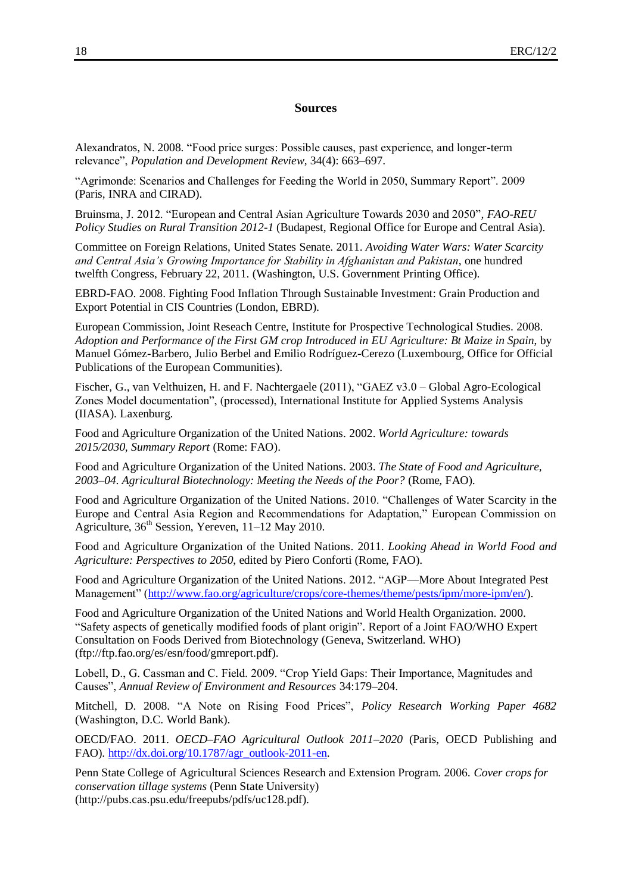#### **Sources**

Alexandratos, N. 2008. "Food price surges: Possible causes, past experience, and longer-term relevance", *Population and Development Review*, 34(4): 663–697.

"Agrimonde: Scenarios and Challenges for Feeding the World in 2050, Summary Report". 2009 (Paris, INRA and CIRAD).

Bruinsma, J. 2012. "European and Central Asian Agriculture Towards 2030 and 2050"*, FAO-REU Policy Studies on Rural Transition 2012-1* (Budapest, Regional Office for Europe and Central Asia).

Committee on Foreign Relations, United States Senate. 2011. *Avoiding Water Wars: Water Scarcity and Central Asia's Growing Importance for Stability in Afghanistan and Pakistan*, one hundred twelfth Congress, February 22, 2011. (Washington, U.S. Government Printing Office).

EBRD-FAO. 2008. Fighting Food Inflation Through Sustainable Investment: Grain Production and Export Potential in CIS Countries (London, EBRD).

European Commission, Joint Reseach Centre, Institute for Prospective Technological Studies. 2008. *Adoption and Performance of the First GM crop Introduced in EU Agriculture: Bt Maize in Spain*, by Manuel Gómez-Barbero, Julio Berbel and Emilio Rodríguez-Cerezo (Luxembourg, Office for Official Publications of the European Communities).

Fischer, G., van Velthuizen, H. and F. Nachtergaele (2011), "GAEZ v3.0 – Global Agro-Ecological Zones Model documentation", (processed), International Institute for Applied Systems Analysis (IIASA). Laxenburg.

Food and Agriculture Organization of the United Nations. 2002. *World Agriculture: towards 2015/2030, Summary Report* (Rome: FAO).

Food and Agriculture Organization of the United Nations. 2003. *The State of Food and Agriculture, 2003–04. Agricultural Biotechnology: Meeting the Needs of the Poor?* (Rome, FAO).

Food and Agriculture Organization of the United Nations. 2010. "Challenges of Water Scarcity in the Europe and Central Asia Region and Recommendations for Adaptation," European Commission on Agriculture, 36<sup>th</sup> Session, Yereven, 11–12 May 2010.

Food and Agriculture Organization of the United Nations. 2011. *Looking Ahead in World Food and Agriculture: Perspectives to 2050*, edited by Piero Conforti (Rome, FAO).

Food and Agriculture Organization of the United Nations. 2012. "AGP—More About Integrated Pest Management" [\(http://www.fao.org/agriculture/crops/core-themes/theme/pests/ipm/more-ipm/en/\)](http://www.fao.org/agriculture/crops/core-themes/theme/pests/ipm/more-ipm/en/).

Food and Agriculture Organization of the United Nations and World Health Organization. 2000. "Safety aspects of genetically modified foods of plant origin". Report of a Joint FAO/WHO Expert Consultation on Foods Derived from Biotechnology (Geneva, Switzerland. WHO) (ftp://ftp.fao.org/es/esn/food/gmreport.pdf).

Lobell, D., G. Cassman and C. Field. 2009. "Crop Yield Gaps: Their Importance, Magnitudes and Causes", *Annual Review of Environment and Resources* 34:179–204.

Mitchell, D. 2008. "A Note on Rising Food Prices", *Policy Research Working Paper 4682* (Washington, D.C. World Bank).

OECD/FAO. 2011. *OECD–FAO Agricultural Outlook 2011–2020* (Paris, OECD Publishing and FAO). [http://dx.doi.org/10.1787/agr\\_outlook-2011-en.](http://dx.doi.org/10.1787/agr_outlook-2011-en)

Penn State College of Agricultural Sciences Research and Extension Program. 2006. *Cover crops for conservation tillage systems* (Penn State University) (http://pubs.cas.psu.edu/freepubs/pdfs/uc128.pdf).